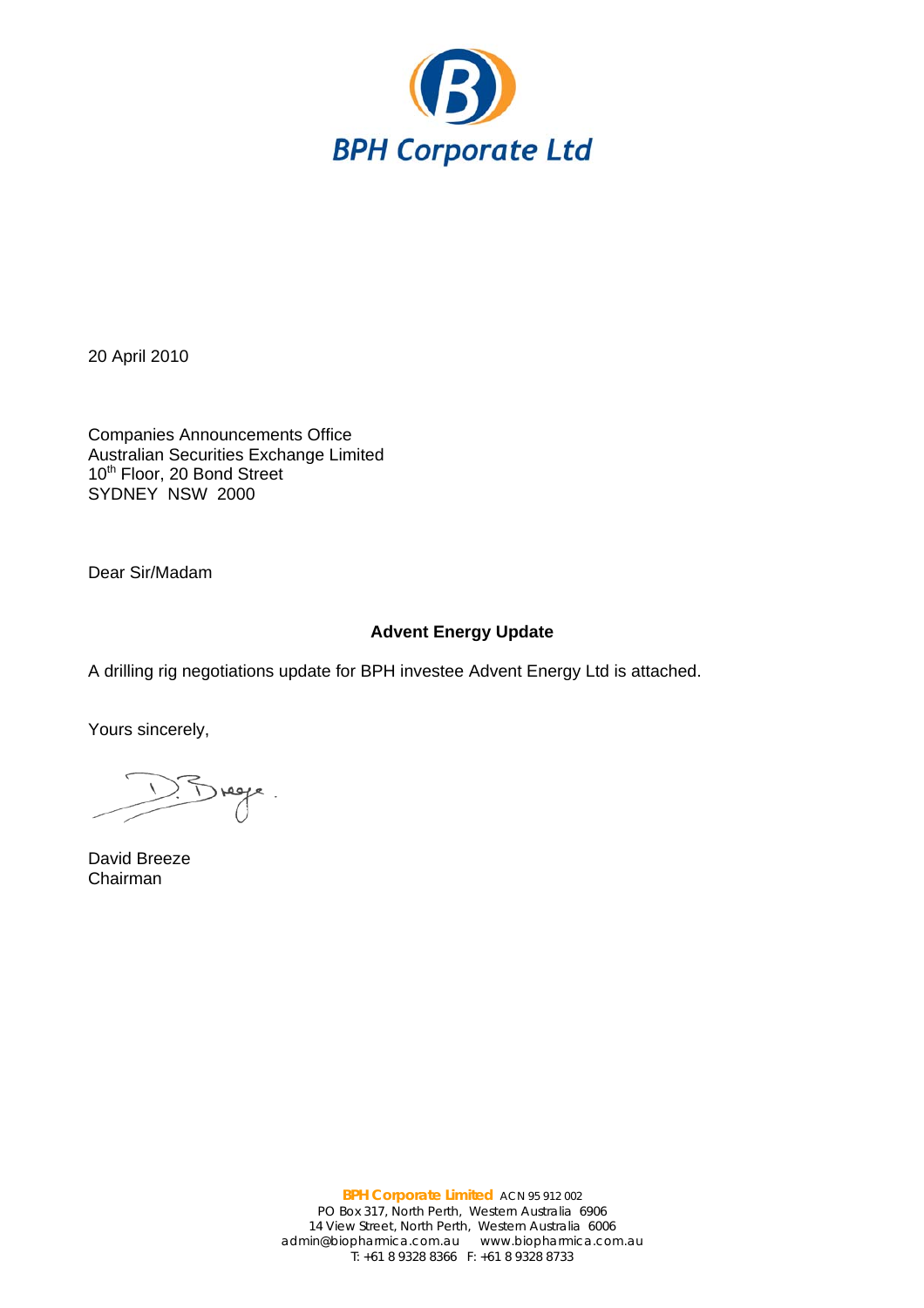

20 April 2010

Companies Announcements Office Australian Securities Exchange Limited 10<sup>th</sup> Floor, 20 Bond Street SYDNEY NSW 2000

Dear Sir/Madam

# **Advent Energy Update**

A drilling rig negotiations update for BPH investee Advent Energy Ltd is attached.

Yours sincerely,

 $5$  regge.

David Breeze Chairman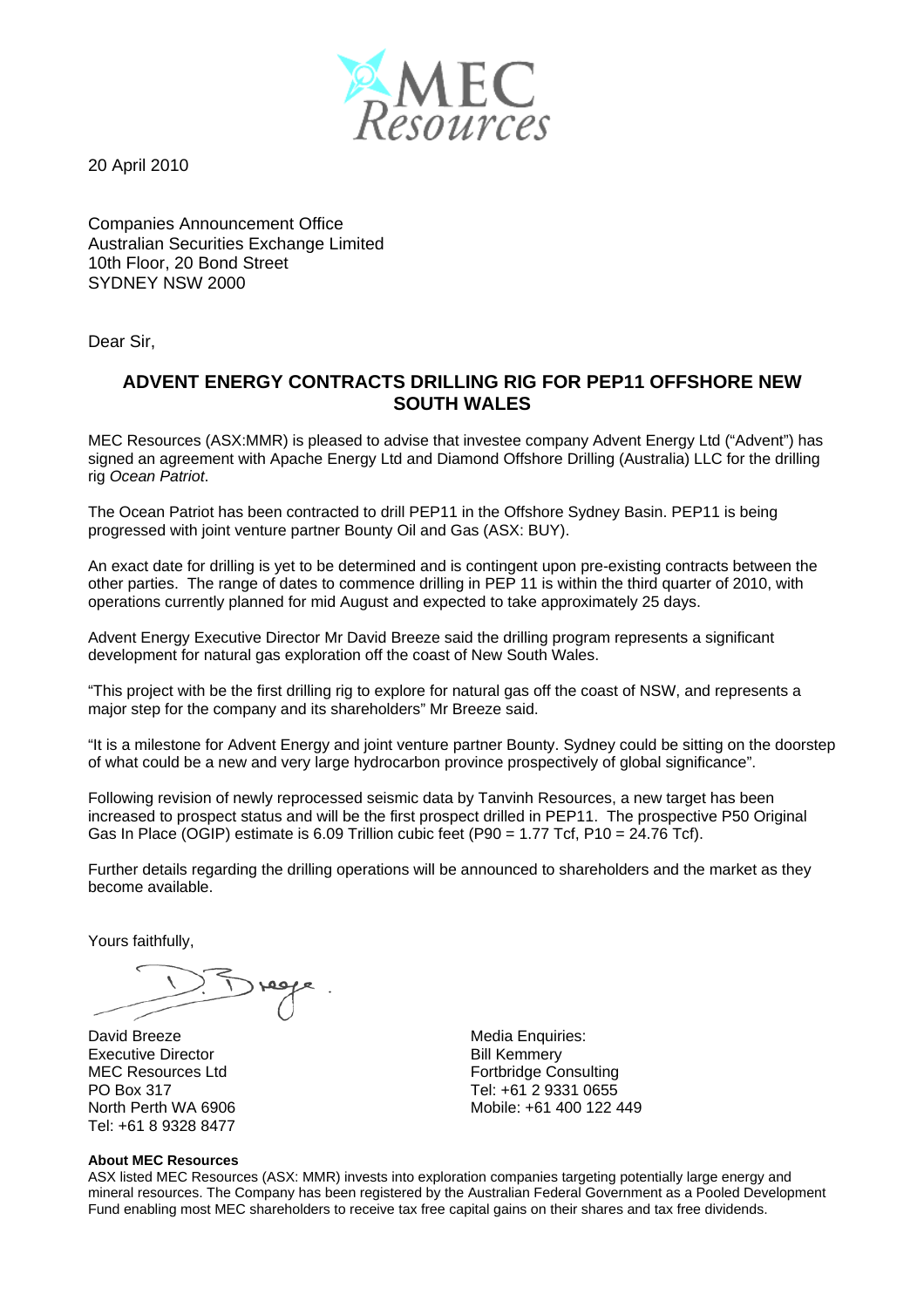

20 April 2010

Companies Announcement Office Australian Securities Exchange Limited 10th Floor, 20 Bond Street SYDNEY NSW 2000

Dear Sir,

## **ADVENT ENERGY CONTRACTS DRILLING RIG FOR PEP11 OFFSHORE NEW SOUTH WALES**

MEC Resources (ASX:MMR) is pleased to advise that investee company Advent Energy Ltd ("Advent") has signed an agreement with Apache Energy Ltd and Diamond Offshore Drilling (Australia) LLC for the drilling rig *Ocean Patriot*.

The Ocean Patriot has been contracted to drill PEP11 in the Offshore Sydney Basin. PEP11 is being progressed with joint venture partner Bounty Oil and Gas (ASX: BUY).

An exact date for drilling is yet to be determined and is contingent upon pre-existing contracts between the other parties. The range of dates to commence drilling in PEP 11 is within the third quarter of 2010, with operations currently planned for mid August and expected to take approximately 25 days.

Advent Energy Executive Director Mr David Breeze said the drilling program represents a significant development for natural gas exploration off the coast of New South Wales.

"This project with be the first drilling rig to explore for natural gas off the coast of NSW, and represents a major step for the company and its shareholders" Mr Breeze said.

"It is a milestone for Advent Energy and joint venture partner Bounty. Sydney could be sitting on the doorstep of what could be a new and very large hydrocarbon province prospectively of global significance".

Following revision of newly reprocessed seismic data by Tanvinh Resources, a new target has been increased to prospect status and will be the first prospect drilled in PEP11. The prospective P50 Original Gas In Place (OGIP) estimate is 6.09 Trillion cubic feet (P90 = 1.77 Tcf, P10 = 24.76 Tcf).

Further details regarding the drilling operations will be announced to shareholders and the market as they become available.

Yours faithfully,

David Breeze Executive Director MEC Resources Ltd PO Box 317 North Perth WA 6906 Tel: +61 8 9328 8477

### **About MEC Resources**

Media Enquiries: Bill Kemmery Fortbridge Consulting Tel: +61 2 9331 0655 Mobile: +61 400 122 449

ASX listed MEC Resources (ASX: MMR) invests into exploration companies targeting potentially large energy and mineral resources. The Company has been registered by the Australian Federal Government as a Pooled Development Fund enabling most MEC shareholders to receive tax free capital gains on their shares and tax free dividends.